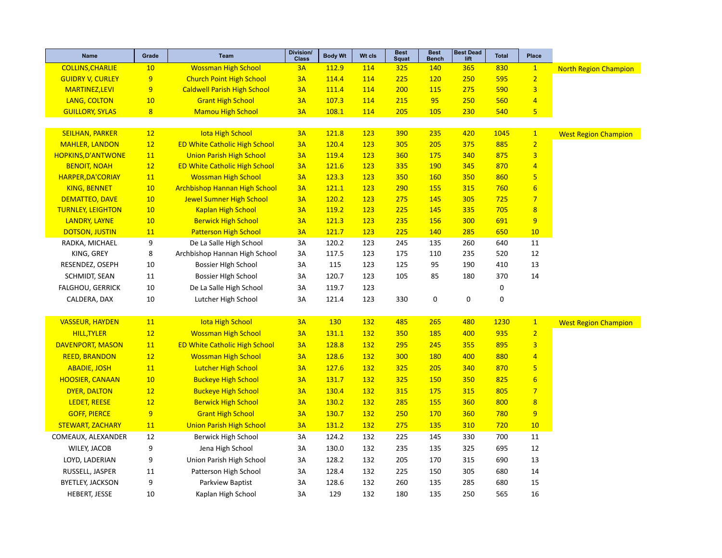| Name                      | Grade          | <b>Team</b>                          | <b>Division/</b><br><b>Class</b> | <b>Body Wt</b> | Wt cls     | <b>Best</b><br><b>Squat</b> | <b>Best</b><br><b>Bench</b> | <b>Best Dead</b><br>lift | <b>Total</b> | Place                   |                              |
|---------------------------|----------------|--------------------------------------|----------------------------------|----------------|------------|-----------------------------|-----------------------------|--------------------------|--------------|-------------------------|------------------------------|
| <b>COLLINS, CHARLIE</b>   | 10             | <b>Wossman High School</b>           | 3A                               | 112.9          | 114        | 325                         | 140                         | 365                      | 830          | $\mathbf{1}$            | <b>North Region Champion</b> |
| <b>GUIDRY V, CURLEY</b>   | 9              | <b>Church Point High School</b>      | 3A                               | 114.4          | 114        | 225                         | 120                         | 250                      | 595          | $\overline{2}$          |                              |
| <b>MARTINEZ,LEVI</b>      | 9              | <b>Caldwell Parish High School</b>   | 3A                               | 111.4          | 114        | 200                         | 115                         | 275                      | 590          | $\overline{3}$          |                              |
| LANG, COLTON              | 10             | <b>Grant High School</b>             | 3A                               | 107.3          | 114        | 215                         | 95                          | 250                      | 560          | $\overline{4}$          |                              |
| <b>GUILLORY, SYLAS</b>    | $\overline{8}$ | <b>Mamou High School</b>             | 3A                               | 108.1          | 114        | 205                         | 105                         | 230                      | 540          | $\overline{\mathbf{5}}$ |                              |
|                           |                |                                      |                                  |                |            |                             |                             |                          |              |                         |                              |
| <b>SEILHAN, PARKER</b>    | 12             | <b>Iota High School</b>              | 3A                               | 121.8          | 123        | 390                         | 235                         | 420                      | 1045         | $\mathbf{1}$            | <b>West Region Champion</b>  |
| <b>MAHLER, LANDON</b>     | 12             | <b>ED White Catholic High School</b> | 3A                               | 120.4          | 123        | 305                         | 205                         | 375                      | 885          | $\overline{2}$          |                              |
| <b>HOPKINS, D'ANTWONE</b> | 11             | <b>Union Parish High School</b>      | 3A                               | 119.4          | 123        | 360                         | 175                         | 340                      | 875          | $\overline{\mathbf{3}}$ |                              |
| <b>BENOIT, NOAH</b>       | 12             | <b>ED White Catholic High School</b> | 3A                               | 121.6          | <b>123</b> | 335                         | 190                         | 345                      | 870          | $\overline{4}$          |                              |
| <b>HARPER, DA'CORIAY</b>  | 11             | <b>Wossman High School</b>           | 3A                               | 123.3          | 123        | 350                         | 160                         | 350                      | 860          | 5                       |                              |
| <b>KING, BENNET</b>       | 10             | <b>Archbishop Hannan High School</b> | 3A                               | 121.1          | 123        | 290                         | 155                         | 315                      | 760          | $6\phantom{1}6$         |                              |
| <b>DEMATTEO, DAVE</b>     | 10             | <b>Jewel Sumner High School</b>      | 3A                               | 120.2          | 123        | 275                         | 145                         | 305                      | 725          | $\overline{7}$          |                              |
| <b>TURNLEY, LEIGHTON</b>  | 10             | <b>Kaplan High School</b>            | 3A                               | 119.2          | 123        | 225                         | 145                         | 335                      | 705          | $\overline{8}$          |                              |
| <b>LANDRY, LAYNE</b>      | 10             | <b>Berwick High School</b>           | 3A                               | 121.3          | 123        | 235                         | 156                         | 300                      | 691          | 9                       |                              |
| <b>DOTSON, JUSTIN</b>     | 11             | <b>Patterson High School</b>         | 3A                               | 121.7          | 123        | 225                         | 140                         | 285                      | 650          | 10                      |                              |
| RADKA, MICHAEL            | 9              | De La Salle High School              | 3A                               | 120.2          | 123        | 245                         | 135                         | 260                      | 640          | 11                      |                              |
| KING, GREY                | 8              | Archbishop Hannan High School        | 3A                               | 117.5          | 123        | 175                         | 110                         | 235                      | 520          | 12                      |                              |
| RESENDEZ, OSEPH           | 10             | <b>Bossier High School</b>           | 3A                               | 115            | 123        | 125                         | 95                          | 190                      | 410          | 13                      |                              |
| SCHMIDT, SEAN             | 11             | <b>Bossier High School</b>           | 3A                               | 120.7          | 123        | 105                         | 85                          | 180                      | 370          | 14                      |                              |
| <b>FALGHOU, GERRICK</b>   | 10             | De La Salle High School              | 3A                               | 119.7          | 123        |                             |                             |                          | 0            |                         |                              |
| CALDERA, DAX              | 10             | Lutcher High School                  | 3A                               | 121.4          | 123        | 330                         | 0                           | 0                        | $\mathbf 0$  |                         |                              |
|                           |                |                                      |                                  |                |            |                             |                             |                          |              |                         |                              |
| <b>VASSEUR, HAYDEN</b>    | 11             | <b>Iota High School</b>              | 3A                               | <b>130</b>     | 132        | 485                         | 265                         | 480                      | 1230         | $\mathbf{1}$            | <b>West Region Champion</b>  |
| <b>HILL, TYLER</b>        | 12             | <b>Wossman High School</b>           | 3A                               | 131.1          | 132        | 350                         | 185                         | 400                      | 935          | $\overline{2}$          |                              |
| <b>DAVENPORT, MASON</b>   | 11             | <b>ED White Catholic High School</b> | 3A                               | 128.8          | <b>132</b> | 295                         | 245                         | 355                      | 895          | 3                       |                              |
| <b>REED, BRANDON</b>      | 12             | <b>Wossman High School</b>           | 3A                               | 128.6          | 132        | 300                         | <b>180</b>                  | 400                      | 880          | $\overline{4}$          |                              |
| <b>ABADIE, JOSH</b>       | 11             | <b>Lutcher High School</b>           | 3A                               | 127.6          | 132        | 325                         | 205                         | 340                      | 870          | 5                       |                              |
| <b>HOOSIER, CANAAN</b>    | 10             | <b>Buckeye High School</b>           | 3A                               | 131.7          | <b>132</b> | 325                         | 150                         | 350                      | 825          | $6\overline{6}$         |                              |
| <b>DYER, DALTON</b>       | 12             | <b>Buckeye High School</b>           | 3A                               | 130.4          | 132        | 315                         | 175                         | 315                      | 805          | $\overline{7}$          |                              |
| <b>LEDET, REESE</b>       | 12             | <b>Berwick High School</b>           | 3A                               | 130.2          | 132        | 285                         | 155                         | 360                      | 800          | $\overline{8}$          |                              |
| <b>GOFF, PIERCE</b>       | 9              | <b>Grant High School</b>             | 3A                               | 130.7          | 132        | 250                         | 170                         | 360                      | 780          | 9                       |                              |
| <b>STEWART, ZACHARY</b>   | 11             | <b>Union Parish High School</b>      | 3A                               | 131.2          | 132        | 275                         | 135                         | 310                      | 720          | 10                      |                              |
| COMEAUX, ALEXANDER        | 12             | Berwick High School                  | 3A                               | 124.2          | 132        | 225                         | 145                         | 330                      | 700          | 11                      |                              |
| WILEY, JACOB              | 9              | Jena High School                     | 3A                               | 130.0          | 132        | 235                         | 135                         | 325                      | 695          | 12                      |                              |
| LOYD, LADERIAN            | 9              | Union Parish High School             | 3A                               | 128.2          | 132        | 205                         | 170                         | 315                      | 690          | 13                      |                              |
| RUSSELL, JASPER           | 11             | Patterson High School                | 3A                               | 128.4          | 132        | 225                         | 150                         | 305                      | 680          | 14                      |                              |
| <b>BYETLEY, JACKSON</b>   | 9              | Parkview Baptist                     | 3A                               | 128.6          | 132        | 260                         | 135                         | 285                      | 680          | 15                      |                              |
| HEBERT, JESSE             | 10             | Kaplan High School                   | 3A                               | 129            | 132        | 180                         | 135                         | 250                      | 565          | 16                      |                              |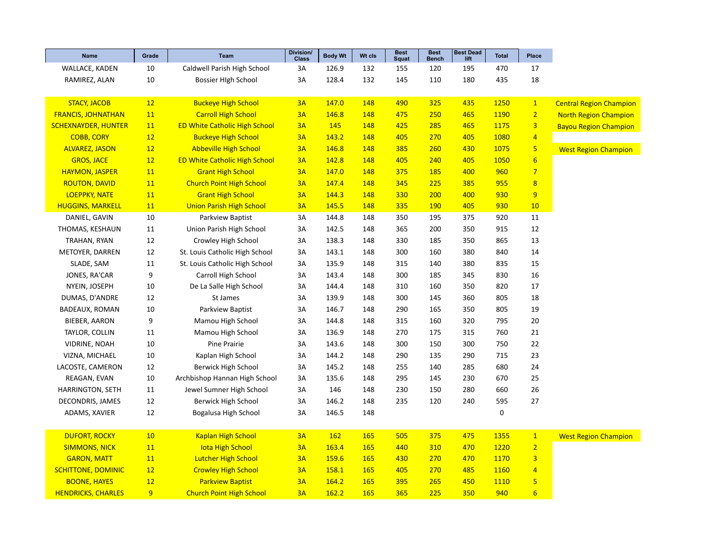| <b>Name</b>                | Grade           | Team                                 | Division/<br><b>Class</b> | <b>Body Wt</b> | Wt cls | <b>Best</b><br>Squat | <b>Best</b><br><b>Bench</b> | <b>Best Dead</b><br>lift | <b>Total</b> | Place                   |                                |
|----------------------------|-----------------|--------------------------------------|---------------------------|----------------|--------|----------------------|-----------------------------|--------------------------|--------------|-------------------------|--------------------------------|
| WALLACE, KADEN             | 10              | Caldwell Parish High School          | 3A                        | 126.9          | 132    | 155                  | 120                         | 195                      | 470          | 17                      |                                |
| RAMIREZ, ALAN              | 10              | Bossier High School                  | 3A                        | 128.4          | 132    | 145                  | 110                         | 180                      | 435          | 18                      |                                |
|                            |                 |                                      |                           |                |        |                      |                             |                          |              |                         |                                |
| <b>STACY, JACOB</b>        | 12              | <b>Buckeye High School</b>           | 3A                        | 147.0          | 148    | 490                  | 325                         | 435                      | 1250         | $\mathbf{1}$            | <b>Central Region Champion</b> |
| <b>FRANCIS, JOHNATHAN</b>  | 11              | <b>Carroll High School</b>           | 3A                        | 146.8          | 148    | 475                  | 250                         | 465                      | 1190         | $\overline{2}$          | <b>North Region Champion</b>   |
| <b>SCHEXNAYDER, HUNTER</b> | 11              | <b>ED White Catholic High School</b> | 3A                        | 145            | 148    | 425                  | 285                         | 465                      | 1175         | $\overline{\mathbf{3}}$ | <b>Bayou Region Champion</b>   |
| <b>COBB, CORY</b>          | 12              | <b>Buckeye High School</b>           | 3A                        | 143.2          | 148    | 405                  | 270                         | 405                      | 1080         | $\overline{4}$          |                                |
| <b>ALVAREZ, JASON</b>      | 12              | <b>Abbeville High School</b>         | 3A                        | 146.8          | 148    | 385                  | 260                         | 430                      | 1075         | 5                       | <b>West Region Champion</b>    |
| <b>GROS, JACE</b>          | 12              | <b>ED White Catholic High School</b> | 3A                        | 142.8          | 148    | 405                  | 240                         | 405                      | 1050         | $6\overline{6}$         |                                |
| <b>HAYMON, JASPER</b>      | 11              | <b>Grant High School</b>             | 3A                        | 147.0          | 148    | 375                  | <b>185</b>                  | 400                      | 960          | $\overline{7}$          |                                |
| <b>ROUTON, DAVID</b>       | 11              | <b>Church Point High School</b>      | 3A                        | 147.4          | 148    | 345                  | 225                         | 385                      | 955          | $\overline{\mathbf{8}}$ |                                |
| <b>LOEPPKY, NATE</b>       | 11              | <b>Grant High School</b>             | 3A                        | 144.3          | 148    | 330                  | 200                         | 400                      | 930          | 9                       |                                |
| <b>HUGGINS, MARKELL</b>    | 11              | <b>Union Parish High School</b>      | 3A                        | 145.5          | 148    | 335                  | <b>190</b>                  | 405                      | 930          | 10                      |                                |
| DANIEL, GAVIN              | 10              | Parkview Baptist                     | 3A                        | 144.8          | 148    | 350                  | 195                         | 375                      | 920          | 11                      |                                |
| THOMAS, KESHAUN            | 11              | Union Parish High School             | 3A                        | 142.5          | 148    | 365                  | 200                         | 350                      | 915          | 12                      |                                |
| TRAHAN, RYAN               | 12              | Crowley High School                  | 3A                        | 138.3          | 148    | 330                  | 185                         | 350                      | 865          | 13                      |                                |
| METOYER, DARREN            | 12              | St. Louis Catholic High School       | 3A                        | 143.1          | 148    | 300                  | 160                         | 380                      | 840          | 14                      |                                |
| SLADE, SAM                 | 11              | St. Louis Catholic High School       | 3A                        | 135.9          | 148    | 315                  | 140                         | 380                      | 835          | 15                      |                                |
| JONES, RA'CAR              | 9               | Carroll High School                  | 3A                        | 143.4          | 148    | 300                  | 185                         | 345                      | 830          | 16                      |                                |
| NYEIN, JOSEPH              | 10              | De La Salle High School              | 3A                        | 144.4          | 148    | 310                  | 160                         | 350                      | 820          | 17                      |                                |
| DUMAS, D'ANDRE             | 12              | St James                             | 3A                        | 139.9          | 148    | 300                  | 145                         | 360                      | 805          | 18                      |                                |
| BADEAUX, ROMAN             | 10              | Parkview Baptist                     | 3A                        | 146.7          | 148    | 290                  | 165                         | 350                      | 805          | 19                      |                                |
| BIEBER, AARON              | 9               | Mamou High School                    | 3A                        | 144.8          | 148    | 315                  | 160                         | 320                      | 795          | 20                      |                                |
| TAYLOR, COLLIN             | 11              | Mamou High School                    | 3A                        | 136.9          | 148    | 270                  | 175                         | 315                      | 760          | 21                      |                                |
| <b>VIDRINE, NOAH</b>       | 10              | Pine Prairie                         | 3A                        | 143.6          | 148    | 300                  | 150                         | 300                      | 750          | 22                      |                                |
| VIZNA, MICHAEL             | 10              | Kaplan High School                   | 3A                        | 144.2          | 148    | 290                  | 135                         | 290                      | 715          | 23                      |                                |
| LACOSTE, CAMERON           | 12              | Berwick High School                  | 3A                        | 145.2          | 148    | 255                  | 140                         | 285                      | 680          | 24                      |                                |
| REAGAN, EVAN               | 10              | Archbishop Hannan High School        | 3A                        | 135.6          | 148    | 295                  | 145                         | 230                      | 670          | 25                      |                                |
| <b>HARRINGTON, SETH</b>    | 11              | Jewel Sumner High School             | 3A                        | 146            | 148    | 230                  | 150                         | 280                      | 660          | 26                      |                                |
| DECONDRIS, JAMES           | 12              | Berwick High School                  | 3A                        | 146.2          | 148    | 235                  | 120                         | 240                      | 595          | 27                      |                                |
| ADAMS, XAVIER              | 12              | Bogalusa High School                 | 3A                        | 146.5          | 148    |                      |                             |                          | 0            |                         |                                |
|                            |                 |                                      |                           |                |        |                      |                             |                          |              |                         |                                |
| <b>DUFORT, ROCKY</b>       | 10 <sup>°</sup> | <b>Kaplan High School</b>            | 3A                        | 162            | 165    | 505                  | 375                         | 475                      | 1355         | $\mathbf{1}$            | <b>West Region Champion</b>    |
| <b>SIMMONS, NICK</b>       | 11              | <b>lota High School</b>              | 3A                        | 163.4          | 165    | 440                  | 310                         | 470                      | 1220         | $\overline{2}$          |                                |
| <b>GARON, MATT</b>         | 11              | <b>Lutcher High School</b>           | 3A                        | 159.6          | 165    | 430                  | 270                         | 470                      | 1170         | $\overline{\mathbf{3}}$ |                                |
| <b>SCHITTONE, DOMINIC</b>  | 12              | <b>Crowley High School</b>           | 3A                        | 158.1          | 165    | 405                  | 270                         | 485                      | 1160         | $\overline{4}$          |                                |
| <b>BOONE, HAYES</b>        | 12              | <b>Parkview Baptist</b>              | 3A                        | 164.2          | 165    | 395                  | 265                         | 450                      | 1110         | 5                       |                                |
| <b>HENDRICKS, CHARLES</b>  | 9               | <b>Church Point High School</b>      | 3A                        | 162.2          | 165    | 365                  | 225                         | 350                      | 940          | $6\phantom{1}6$         |                                |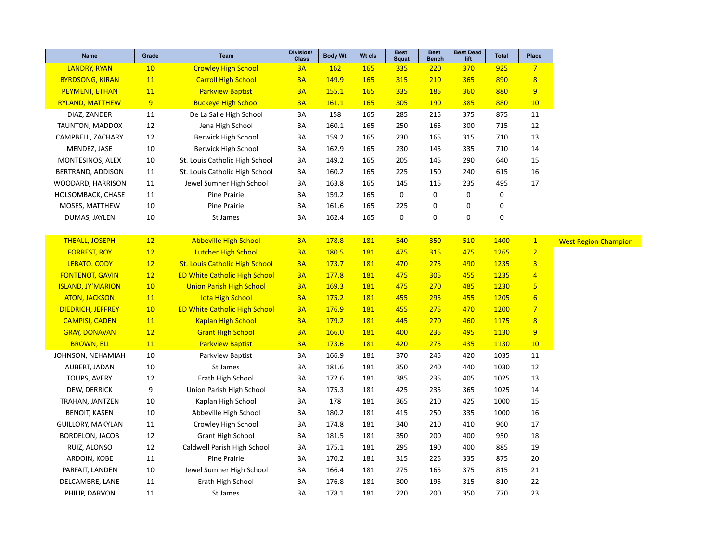| <b>Name</b>              | Grade | <b>Team</b>                           | Division/<br><b>Class</b> | <b>Body Wt</b> | Wt cls     | <b>Best</b><br><b>Squat</b> | <b>Best</b><br><b>Bench</b> | <b>Best Dead</b><br>lift | <b>Total</b> | Place            |
|--------------------------|-------|---------------------------------------|---------------------------|----------------|------------|-----------------------------|-----------------------------|--------------------------|--------------|------------------|
| <b>LANDRY, RYAN</b>      | 10    | <b>Crowley High School</b>            | 3A                        | <b>162</b>     | <b>165</b> | 335                         | 220                         | 370                      | 925          | $\overline{7}$   |
| <b>BYRDSONG, KIRAN</b>   | 11    | <b>Carroll High School</b>            | 3A                        | 149.9          | 165        | 315                         | 210                         | 365                      | 890          | 8                |
| <b>PEYMENT, ETHAN</b>    | 11    | <b>Parkview Baptist</b>               | 3A                        | 155.1          | <b>165</b> | 335                         | 185                         | 360                      | 880          | 9                |
| <b>RYLAND, MATTHEW</b>   | 9     | <b>Buckeye High School</b>            | 3A                        | 161.1          | <b>165</b> | 305                         | <b>190</b>                  | 385                      | 880          | 10               |
| DIAZ, ZANDER             | 11    | De La Salle High School               | 3A                        | 158            | 165        | 285                         | 215                         | 375                      | 875          | 11               |
| TAUNTON, MADDOX          | 12    | Jena High School                      | 3A                        | 160.1          | 165        | 250                         | 165                         | 300                      | 715          | 12               |
| CAMPBELL, ZACHARY        | 12    | Berwick High School                   | 3A                        | 159.2          | 165        | 230                         | 165                         | 315                      | 710          | 13               |
| MENDEZ, JASE             | 10    | Berwick High School                   | 3A                        | 162.9          | 165        | 230                         | 145                         | 335                      | 710          | 14               |
| MONTESINOS, ALEX         | 10    | St. Louis Catholic High School        | 3A                        | 149.2          | 165        | 205                         | 145                         | 290                      | 640          | 15               |
| BERTRAND, ADDISON        | 11    | St. Louis Catholic High School        | 3A                        | 160.2          | 165        | 225                         | 150                         | 240                      | 615          | 16               |
| WOODARD, HARRISON        | 11    | Jewel Sumner High School              | 3A                        | 163.8          | 165        | 145                         | 115                         | 235                      | 495          | 17               |
| HOLSOMBACK, CHASE        | 11    | Pine Prairie                          | 3A                        | 159.2          | 165        | 0                           | 0                           | 0                        | 0            |                  |
| MOSES, MATTHEW           | 10    | Pine Prairie                          | 3A                        | 161.6          | 165        | 225                         | 0                           | 0                        | 0            |                  |
| DUMAS, JAYLEN            | 10    | St James                              | 3A                        | 162.4          | 165        | 0                           | $\pmb{0}$                   | 0                        | 0            |                  |
|                          |       |                                       |                           |                |            |                             |                             |                          |              |                  |
| <b>THEALL, JOSEPH</b>    | 12    | <b>Abbeville High School</b>          | 3A                        | 178.8          | 181        | 540                         | 350                         | 510                      | 1400         | 1                |
| <b>FORREST, ROY</b>      | 12    | <b>Lutcher High School</b>            | 3A                        | 180.5          | <b>181</b> | 475                         | 315                         | 475                      | 1265         | $\overline{2}$   |
| LEBATO. CODY             | 12    | <b>St. Louis Catholic High School</b> | 3A                        | 173.7          | <b>181</b> | 470                         | 275                         | 490                      | 1235         | 3                |
| <b>FONTENOT, GAVIN</b>   | 12    | <b>ED White Catholic High School</b>  | 3A                        | 177.8          | 181        | 475                         | 305                         | 455                      | 1235         | $\overline{4}$   |
| <b>ISLAND, JY'MARION</b> | 10    | <b>Union Parish High School</b>       | 3A                        | 169.3          | 181        | 475                         | 270                         | 485                      | 1230         | 5                |
| <b>ATON, JACKSON</b>     | 11    | <b>lota High School</b>               | 3A                        | 175.2          | 181        | 455                         | 295                         | 455                      | 1205         | $6 \overline{}$  |
| <b>DIEDRICH, JEFFREY</b> | 10    | <b>ED White Catholic High School</b>  | 3A                        | 176.9          | 181        | 455                         | 275                         | 470                      | 1200         | $\overline{7}$   |
| <b>CAMPISI, CADEN</b>    | 11    | <b>Kaplan High School</b>             | 3A                        | 179.2          | 181        | 445                         | 270                         | 460                      | 1175         | $\boldsymbol{8}$ |
| <b>GRAY, DONAVAN</b>     | 12    | <b>Grant High School</b>              | 3A                        | 166.0          | <b>181</b> | 400                         | 235                         | 495                      | <b>1130</b>  | 9                |
| <b>BROWN, ELI</b>        | 11    | <b>Parkview Baptist</b>               | 3A                        | 173.6          | <b>181</b> | 420                         | 275                         | 435                      | <b>1130</b>  | 10               |
| JOHNSON, NEHAMIAH        | 10    | Parkview Baptist                      | 3A                        | 166.9          | 181        | 370                         | 245                         | 420                      | 1035         | 11               |
| AUBERT, JADAN            | 10    | St James                              | 3A                        | 181.6          | 181        | 350                         | 240                         | 440                      | 1030         | 12               |
| TOUPS, AVERY             | 12    | Erath High School                     | 3A                        | 172.6          | 181        | 385                         | 235                         | 405                      | 1025         | 13               |
| DEW, DERRICK             | 9     | Union Parish High School              | 3A                        | 175.3          | 181        | 425                         | 235                         | 365                      | 1025         | 14               |
| TRAHAN, JANTZEN          | 10    | Kaplan High School                    | 3A                        | 178            | 181        | 365                         | 210                         | 425                      | 1000         | 15               |
| <b>BENOIT, KASEN</b>     | 10    | Abbeville High School                 | 3A                        | 180.2          | 181        | 415                         | 250                         | 335                      | 1000         | 16               |
| <b>GUILLORY, MAKYLAN</b> | 11    | Crowley High School                   | 3A                        | 174.8          | 181        | 340                         | 210                         | 410                      | 960          | 17               |
| <b>BORDELON, JACOB</b>   | 12    | <b>Grant High School</b>              | 3A                        | 181.5          | 181        | 350                         | 200                         | 400                      | 950          | 18               |
| RUIZ, ALONSO             | 12    | Caldwell Parish High School           | 3A                        | 175.1          | 181        | 295                         | 190                         | 400                      | 885          | 19               |
| ARDOIN, KOBE             | 11    | Pine Prairie                          | 3A                        | 170.2          | 181        | 315                         | 225                         | 335                      | 875          | 20               |
| PARFAIT, LANDEN          | 10    | Jewel Sumner High School              | 3A                        | 166.4          | 181        | 275                         | 165                         | 375                      | 815          | 21               |
| DELCAMBRE, LANE          | 11    | Erath High School                     | 3A                        | 176.8          | 181        | 300                         | 195                         | 315                      | 810          | 22               |
| PHILIP, DARVON           | 11    | St James                              | 3A                        | 178.1          | 181        | 220                         | 200                         | 350                      | 770          | 23               |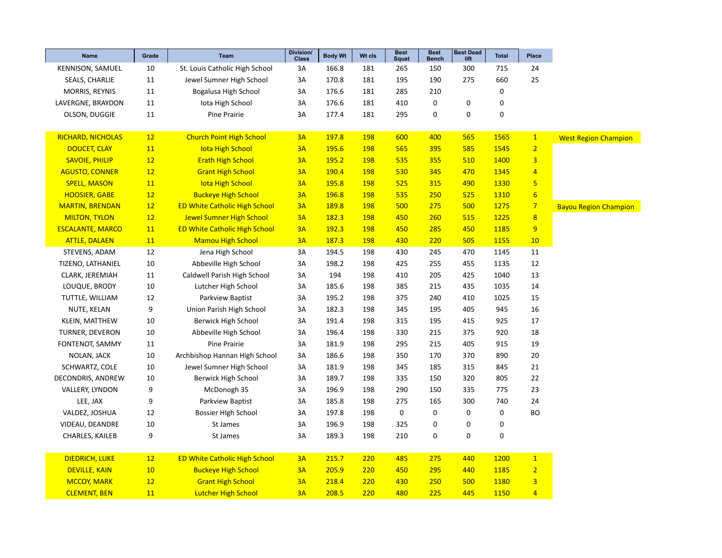| <b>Name</b>              | Grade | <b>Team</b>                          | Division/<br>Class | <b>Body Wt</b> | Wt cls     | <b>Best</b><br><b>Squat</b> | <b>Best</b><br><b>Bench</b> | <b>Best Dead</b><br>lift | <b>Total</b> | Place                   |                              |
|--------------------------|-------|--------------------------------------|--------------------|----------------|------------|-----------------------------|-----------------------------|--------------------------|--------------|-------------------------|------------------------------|
| KENNISON, SAMUEL         | 10    | St. Louis Catholic High School       | 3A                 | 166.8          | 181        | 265                         | 150                         | 300                      | 715          | 24                      |                              |
| SEALS, CHARLIE           | 11    | Jewel Sumner High School             | 3A                 | 170.8          | 181        | 195                         | 190                         | 275                      | 660          | 25                      |                              |
| MORRIS, REYNIS           | 11    | Bogalusa High School                 | 3A                 | 176.6          | 181        | 285                         | 210                         |                          | 0            |                         |                              |
| LAVERGNE, BRAYDON        | 11    | Iota High School                     | 3A                 | 176.6          | 181        | 410                         | 0                           | 0                        | 0            |                         |                              |
| OLSON, DUGGIE            | 11    | Pine Prairie                         | 3A                 | 177.4          | 181        | 295                         | $\pmb{0}$                   | $\mathbf 0$              | $\mathbf 0$  |                         |                              |
|                          |       |                                      |                    |                |            |                             |                             |                          |              |                         |                              |
| <b>RICHARD, NICHOLAS</b> | 12    | <b>Church Point High School</b>      | 3A                 | 197.8          | <b>198</b> | 600                         | 400                         | 565                      | 1565         | $\mathbf{1}$            | <b>West Region Champion</b>  |
| <b>DOUCET, CLAY</b>      | 11    | <b>lota High School</b>              | 3A                 | 195.6          | <b>198</b> | 565                         | 395                         | 585                      | 1545         | $\overline{2}$          |                              |
| <b>SAVOIE, PHILIP</b>    | 12    | <b>Erath High School</b>             | 3A                 | 195.2          | <b>198</b> | 535                         | 355                         | 510                      | 1400         | $\overline{3}$          |                              |
| <b>AGUSTO, CONNER</b>    | 12    | <b>Grant High School</b>             | 3A                 | 190.4          | <b>198</b> | 530                         | 345                         | 470                      | 1345         | $\overline{4}$          |                              |
| <b>SPELL, MASON</b>      | 11    | <b>Iota High School</b>              | 3A                 | 195.8          | 198        | 525                         | 315                         | 490                      | 1330         | $\overline{\mathbf{5}}$ |                              |
| <b>HOOSIER, GABE</b>     | 12    | <b>Buckeye High School</b>           | 3A                 | 196.8          | <b>198</b> | 535                         | 250                         | 525                      | 1310         | $6\overline{6}$         |                              |
| <b>MARTIN, BRENDAN</b>   | 12    | <b>ED White Catholic High School</b> | 3A                 | 189.8          | 198        | 500                         | 275                         | 500                      | 1275         | $\overline{7}$          | <b>Bayou Region Champion</b> |
| <b>MILTON, TYLON</b>     | 12    | <b>Jewel Sumner High School</b>      | 3A                 | 182.3          | <b>198</b> | 450                         | 260                         | 515                      | 1225         | 8                       |                              |
| <b>ESCALANTE, MARCO</b>  | 11    | <b>ED White Catholic High School</b> | 3A                 | 192.3          | <b>198</b> | 450                         | 285                         | 450                      | 1185         | 9                       |                              |
| <b>ATTLE, DALAEN</b>     | 11    | <b>Mamou High School</b>             | 3A                 | 187.3          | 198        | 430                         | 220                         | 505                      | 1155         | 10                      |                              |
| STEVENS, ADAM            | 12    | Jena High School                     | 3A                 | 194.5          | 198        | 430                         | 245                         | 470                      | 1145         | 11                      |                              |
| TIZENO, LATHANIEL        | 10    | Abbeville High School                | 3A                 | 198.2          | 198        | 425                         | 255                         | 455                      | 1135         | 12                      |                              |
| CLARK, JEREMIAH          | 11    | Caldwell Parish High School          | 3A                 | 194            | 198        | 410                         | 205                         | 425                      | 1040         | 13                      |                              |
| LOUQUE, BRODY            | 10    | Lutcher High School                  | 3A                 | 185.6          | 198        | 385                         | 215                         | 435                      | 1035         | 14                      |                              |
| TUTTLE, WILLIAM          | 12    | Parkview Baptist                     | 3A                 | 195.2          | 198        | 375                         | 240                         | 410                      | 1025         | 15                      |                              |
| NUTE, KELAN              | 9     | Union Parish High School             | 3A                 | 182.3          | 198        | 345                         | 195                         | 405                      | 945          | 16                      |                              |
| KLEIN, MATTHEW           | 10    | Berwick High School                  | 3A                 | 191.4          | 198        | 315                         | 195                         | 415                      | 925          | 17                      |                              |
| TURNER, DEVERON          | 10    | Abbeville High School                | 3A                 | 196.4          | 198        | 330                         | 215                         | 375                      | 920          | 18                      |                              |
| FONTENOT, SAMMY          | 11    | Pine Prairie                         | 3A                 | 181.9          | 198        | 295                         | 215                         | 405                      | 915          | 19                      |                              |
| NOLAN, JACK              | 10    | Archbishop Hannan High School        | 3A                 | 186.6          | 198        | 350                         | 170                         | 370                      | 890          | 20                      |                              |
| SCHWARTZ, COLE           | 10    | Jewel Sumner High School             | 3A                 | 181.9          | 198        | 345                         | 185                         | 315                      | 845          | 21                      |                              |
| DECONDRIS, ANDREW        | 10    | Berwick High School                  | 3A                 | 189.7          | 198        | 335                         | 150                         | 320                      | 805          | 22                      |                              |
| VALLERY, LYNDON          | 9     | McDonogh 35                          | 3A                 | 196.9          | 198        | 290                         | 150                         | 335                      | 775          | 23                      |                              |
| LEE, JAX                 | 9     | Parkview Baptist                     | 3A                 | 185.8          | 198        | 275                         | 165                         | 300                      | 740          | 24                      |                              |
| VALDEZ, JOSHUA           | 12    | <b>Bossier High School</b>           | 3A                 | 197.8          | 198        | 0                           | 0                           | 0                        | 0            | <b>BO</b>               |                              |
| VIDEAU, DEANDRE          | 10    | St James                             | 3A                 | 196.9          | 198        | 325                         | 0                           | 0                        | 0            |                         |                              |
| CHARLES, KAILEB          | 9     | St James                             | 3A                 | 189.3          | 198        | 210                         | 0                           | 0                        | $\mathbf 0$  |                         |                              |
|                          |       |                                      |                    |                |            |                             |                             |                          |              |                         |                              |
| <b>DIEDRICH, LUKE</b>    | 12    | <b>ED White Catholic High School</b> | 3A                 | 215.7          | 220        | 485                         | 275                         | 440                      | 1200         | $\mathbf{1}$            |                              |
| <b>DEVILLE, KAIN</b>     | 10    | <b>Buckeye High School</b>           | 3A                 | 205.9          | 220        | 450                         | 295                         | 440                      | 1185         | $\overline{2}$          |                              |
| <b>MCCOY, MARK</b>       | 12    | <b>Grant High School</b>             | 3A                 | 218.4          | 220        | 430                         | 250                         | 500                      | 1180         | $\overline{\mathbf{3}}$ |                              |
| <b>CLEMENT, BEN</b>      | 11    | <b>Lutcher High School</b>           | 3A                 | 208.5          | 220        | 480                         | 225                         | 445                      | 1150         | $\overline{4}$          |                              |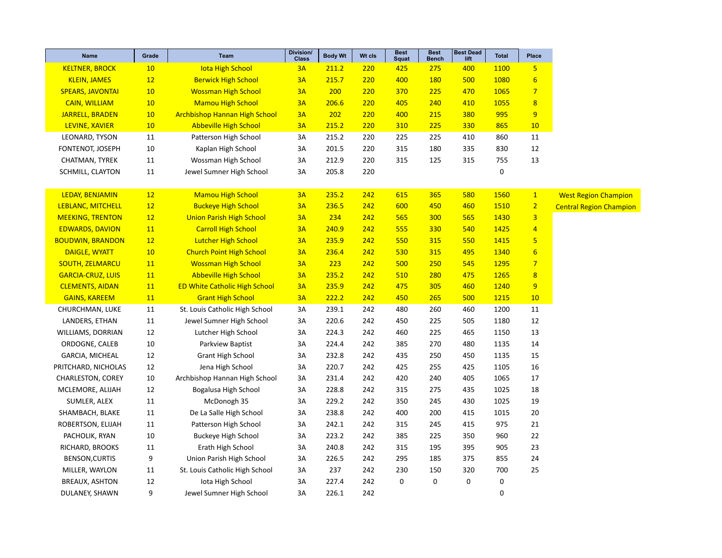| Name                     | Grade     | Team                                 | Division/<br><b>Class</b> | <b>Body Wt</b> | Wt cls | <b>Best</b><br><b>Squat</b> | <b>Best</b><br><b>Bench</b> | <b>Best Dead</b><br>lift | <b>Total</b> | Place                   |                                |
|--------------------------|-----------|--------------------------------------|---------------------------|----------------|--------|-----------------------------|-----------------------------|--------------------------|--------------|-------------------------|--------------------------------|
| <b>KELTNER, BROCK</b>    | 10        | <b>lota High School</b>              | 3A                        | 211.2          | 220    | 425                         | 275                         | 400                      | 1100         | 5 <sub>5</sub>          |                                |
| <b>KLEIN, JAMES</b>      | 12        | <b>Berwick High School</b>           | 3A                        | 215.7          | 220    | 400                         | <b>180</b>                  | 500                      | 1080         | $6\overline{6}$         |                                |
| <b>SPEARS, JAVONTAI</b>  | 10        | <b>Wossman High School</b>           | 3A                        | 200            | 220    | 370                         | 225                         | 470                      | 1065         | $\overline{7}$          |                                |
| <b>CAIN, WILLIAM</b>     | 10        | <b>Mamou High School</b>             | 3A                        | 206.6          | 220    | 405                         | 240                         | 410                      | 1055         | $\overline{\mathbf{8}}$ |                                |
| JARRELL, BRADEN          | 10        | <b>Archbishop Hannan High School</b> | 3A                        | 202            | 220    | 400                         | 215                         | 380                      | 995          | 9                       |                                |
| LEVINE, XAVIER           | 10        | <b>Abbeville High School</b>         | 3A                        | 215.2          | 220    | 310                         | 225                         | 330                      | 865          | 10                      |                                |
| LEONARD, TYSON           | 11        | Patterson High School                | 3A                        | 215.2          | 220    | 225                         | 225                         | 410                      | 860          | 11                      |                                |
| FONTENOT, JOSEPH         | 10        | Kaplan High School                   | 3A                        | 201.5          | 220    | 315                         | 180                         | 335                      | 830          | 12                      |                                |
| CHATMAN, TYREK           | $11\,$    | Wossman High School                  | 3A                        | 212.9          | 220    | 315                         | 125                         | 315                      | 755          | 13                      |                                |
| SCHMILL, CLAYTON         | 11        | Jewel Sumner High School             | 3A                        | 205.8          | 220    |                             |                             |                          | 0            |                         |                                |
| LEDAY, BENJAMIN          | 12        | <b>Mamou High School</b>             | 3A                        | 235.2          | 242    | 615                         | 365                         | 580                      | 1560         | $\mathbf{1}$            | <b>West Region Champion</b>    |
| <b>LEBLANC, MITCHELL</b> | 12        | <b>Buckeye High School</b>           | 3A                        | 236.5          | 242    | 600                         | 450                         | 460                      | 1510         | $\overline{2}$          | <b>Central Region Champion</b> |
| <b>MEEKING, TRENTON</b>  | 12        | <b>Union Parish High School</b>      | 3A                        | 234            | 242    | 565                         | 300                         | 565                      | 1430         | $\overline{\mathbf{3}}$ |                                |
| <b>EDWARDS, DAVION</b>   | 11        | <b>Carroll High School</b>           | 3A                        | 240.9          | 242    | 555                         | 330                         | 540                      | 1425         | $\overline{4}$          |                                |
| <b>BOUDWIN, BRANDON</b>  | 12        | <b>Lutcher High School</b>           | 3A                        | 235.9          | 242    | 550                         | 315                         | 550                      | 1415         | 5                       |                                |
| <b>DAIGLE, WYATT</b>     | 10        | <b>Church Point High School</b>      | 3A                        | 236.4          | 242    | 530                         | 315                         | 495                      | 1340         | $6\overline{6}$         |                                |
| <b>SOUTH, ZELMARCU</b>   | 11        | <b>Wossman High School</b>           | 3A                        | 223            | 242    | 500                         | 250                         | 545                      | 1295         | $\overline{7}$          |                                |
| <b>GARCIA-CRUZ, LUIS</b> | 11        | <b>Abbeville High School</b>         | 3A                        | 235.2          | 242    | 510                         | 280                         | 475                      | 1265         | $\overline{8}$          |                                |
| <b>CLEMENTS, AIDAN</b>   | <b>11</b> | <b>ED White Catholic High School</b> | 3A                        | 235.9          | 242    | 475                         | 305                         | 460                      | 1240         | 9                       |                                |
| <b>GAINS, KAREEM</b>     | 11        | <b>Grant High School</b>             | 3A                        | 222.2          | 242    | 450                         | 265                         | 500                      | 1215         | 10                      |                                |
| CHURCHMAN, LUKE          | 11        | St. Louis Catholic High School       | 3A                        | 239.1          | 242    | 480                         | 260                         | 460                      | 1200         | 11                      |                                |
| LANDERS, ETHAN           | 11        | Jewel Sumner High School             | 3A                        | 220.6          | 242    | 450                         | 225                         | 505                      | 1180         | 12                      |                                |
| WILLIAMS, DORRIAN        | 12        | Lutcher High School                  | 3A                        | 224.3          | 242    | 460                         | 225                         | 465                      | 1150         | 13                      |                                |
| ORDOGNE, CALEB           | 10        | Parkview Baptist                     | 3A                        | 224.4          | 242    | 385                         | 270                         | 480                      | 1135         | 14                      |                                |
| GARCIA, MICHEAL          | 12        | <b>Grant High School</b>             | 3A                        | 232.8          | 242    | 435                         | 250                         | 450                      | 1135         | 15                      |                                |
| PRITCHARD, NICHOLAS      | 12        | Jena High School                     | 3A                        | 220.7          | 242    | 425                         | 255                         | 425                      | 1105         | 16                      |                                |
| CHARLESTON, COREY        | 10        | Archbishop Hannan High School        | 3A                        | 231.4          | 242    | 420                         | 240                         | 405                      | 1065         | 17                      |                                |
| MCLEMORE, ALIJAH         | 12        | Bogalusa High School                 | 3A                        | 228.8          | 242    | 315                         | 275                         | 435                      | 1025         | 18                      |                                |
| SUMLER, ALEX             | 11        | McDonogh 35                          | 3A                        | 229.2          | 242    | 350                         | 245                         | 430                      | 1025         | 19                      |                                |
| SHAMBACH, BLAKE          | 11        | De La Salle High School              | 3A                        | 238.8          | 242    | 400                         | 200                         | 415                      | 1015         | 20                      |                                |
| ROBERTSON, ELIJAH        | 11        | Patterson High School                | 3A                        | 242.1          | 242    | 315                         | 245                         | 415                      | 975          | 21                      |                                |
| PACHOLIK, RYAN           | 10        | <b>Buckeye High School</b>           | 3A                        | 223.2          | 242    | 385                         | 225                         | 350                      | 960          | 22                      |                                |
| RICHARD, BROOKS          | 11        | Erath High School                    | 3A                        | 240.8          | 242    | 315                         | 195                         | 395                      | 905          | 23                      |                                |
| BENSON, CURTIS           | 9         | Union Parish High School             | 3A                        | 226.5          | 242    | 295                         | 185                         | 375                      | 855          | 24                      |                                |
| MILLER, WAYLON           | 11        | St. Louis Catholic High School       | 3A                        | 237            | 242    | 230                         | 150                         | 320                      | 700          | 25                      |                                |
| <b>BREAUX, ASHTON</b>    | 12        | lota High School                     | 3A                        | 227.4          | 242    | $\mathbf 0$                 | 0                           | $\mathsf 0$              | 0            |                         |                                |
| DULANEY, SHAWN           | 9         | Jewel Sumner High School             | 3A                        | 226.1          | 242    |                             |                             |                          | $\mathbf 0$  |                         |                                |